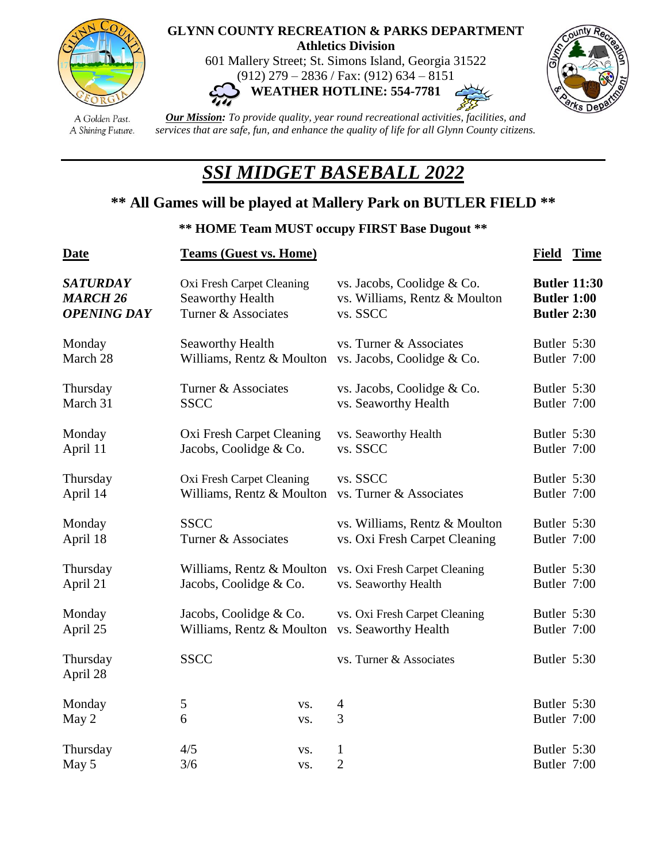

## **GLYNN COUNTY RECREATION & PARKS DEPARTMENT Athletics Division**

601 Mallery Street; St. Simons Island, Georgia 31522 (912) 279 – 2836 / Fax: (912) 634 – 8151





**WEATHER HOTLINE: 554-7781**



*Our Mission: To provide quality, year round recreational activities, facilities, and services that are safe, fun, and enhance the quality of life for all Glynn County citizens.*

## *SSI MIDGET BASEBALL 2022*

## **\*\* All Games will be played at Mallery Park on BUTLER FIELD \*\***

## **\*\* HOME Team MUST occupy FIRST Base Dugout \*\***

| <b>Date</b>                                              | <b>Teams (Guest vs. Home)</b>                                        |                                |                                                                         | Field                                                           | <b>Time</b> |
|----------------------------------------------------------|----------------------------------------------------------------------|--------------------------------|-------------------------------------------------------------------------|-----------------------------------------------------------------|-------------|
| <b>SATURDAY</b><br><b>MARCH 26</b><br><b>OPENING DAY</b> | Oxi Fresh Carpet Cleaning<br>Seaworthy Health<br>Turner & Associates |                                | vs. Jacobs, Coolidge & Co.<br>vs. Williams, Rentz & Moulton<br>vs. SSCC | <b>Butler 11:30</b><br><b>Butler 1:00</b><br><b>Butler 2:30</b> |             |
| Monday<br>March 28                                       | <b>Seaworthy Health</b><br>Williams, Rentz & Moulton                 |                                | vs. Turner & Associates<br>vs. Jacobs, Coolidge & Co.                   | Butler 5:30<br>Butler 7:00                                      |             |
| Thursday<br>March 31                                     | Turner & Associates<br><b>SSCC</b>                                   |                                | vs. Jacobs, Coolidge & Co.<br>vs. Seaworthy Health                      | Butler 5:30<br>Butler 7:00                                      |             |
| Monday<br>April 11                                       | <b>Oxi Fresh Carpet Cleaning</b><br>Jacobs, Coolidge & Co.           |                                | vs. Seaworthy Health<br>vs. SSCC                                        | Butler 5:30<br>Butler 7:00                                      |             |
| Thursday<br>April 14                                     | Oxi Fresh Carpet Cleaning<br>Williams, Rentz & Moulton               |                                | vs. SSCC<br>vs. Turner & Associates                                     | Butler 5:30<br>Butler 7:00                                      |             |
| Monday<br>April 18                                       | <b>SSCC</b><br>Turner & Associates                                   |                                | vs. Williams, Rentz & Moulton<br>vs. Oxi Fresh Carpet Cleaning          | Butler 5:30<br>Butler 7:00                                      |             |
| Thursday<br>April 21                                     | Williams, Rentz & Moulton<br>Jacobs, Coolidge & Co.                  |                                | vs. Oxi Fresh Carpet Cleaning<br>vs. Seaworthy Health                   | Butler 5:30<br>Butler 7:00                                      |             |
| Monday<br>April 25                                       | Jacobs, Coolidge & Co.<br>Williams, Rentz & Moulton                  |                                | vs. Oxi Fresh Carpet Cleaning<br>vs. Seaworthy Health                   | Butler 5:30<br>Butler 7:00                                      |             |
| Thursday<br>April 28                                     | <b>SSCC</b>                                                          |                                | vs. Turner & Associates                                                 | Butler 5:30                                                     |             |
| Monday<br>May 2                                          | 5<br>VS.<br>6<br>VS.                                                 | $\overline{4}$<br>3            |                                                                         | Butler 5:30<br>Butler 7:00                                      |             |
| Thursday<br>May 5                                        | 4/5<br>VS.<br>3/6<br>VS.                                             | $\mathbf{1}$<br>$\mathfrak{2}$ |                                                                         | Butler 5:30<br>Butler 7:00                                      |             |